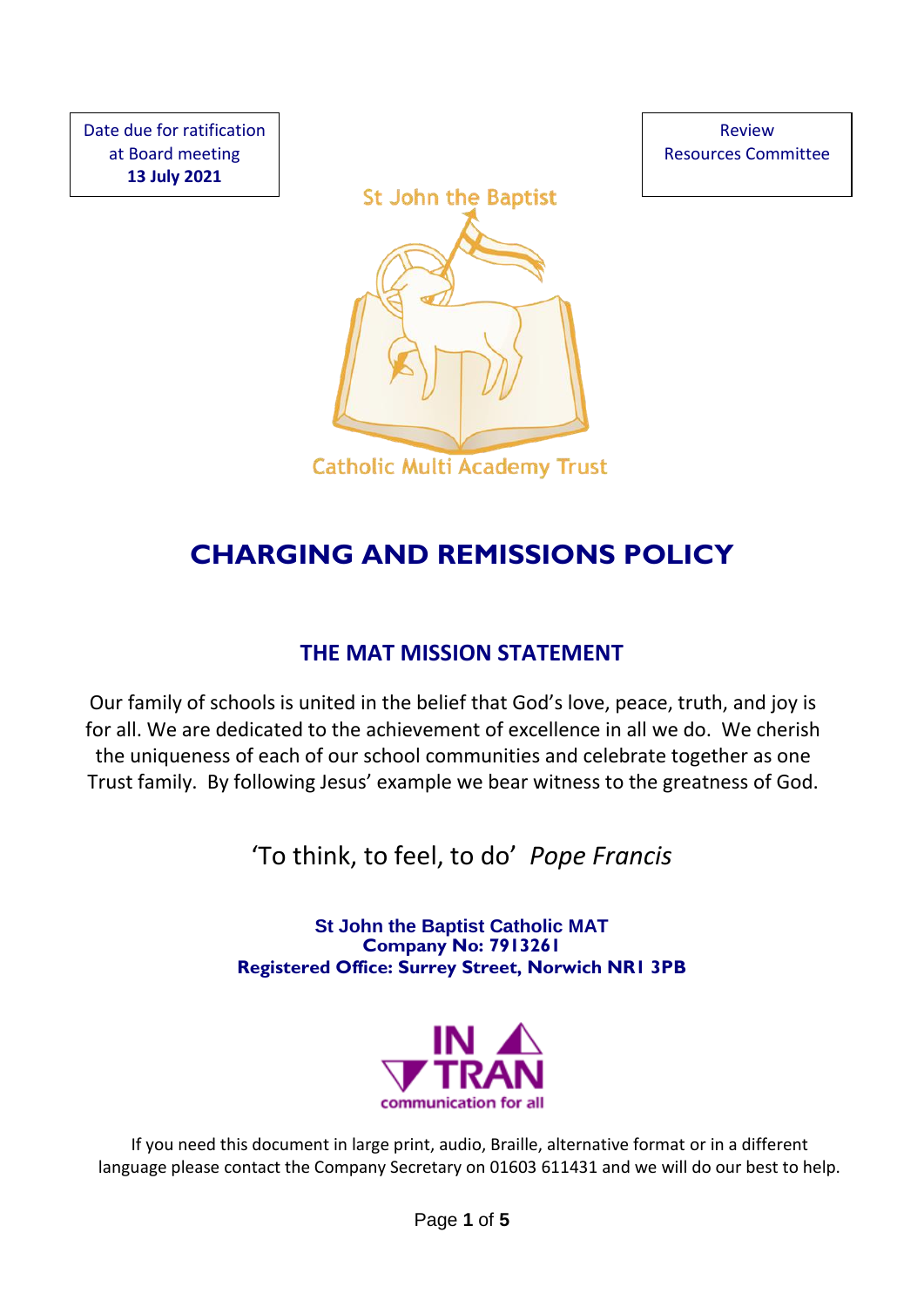Date due for ratification at Board meeting **13 July 2021**





# **CHARGING AND REMISSIONS POLICY**

## **THE MAT MISSION STATEMENT**

Our family of schools is united in the belief that God's love, peace, truth, and joy is for all. We are dedicated to the achievement of excellence in all we do. We cherish the uniqueness of each of our school communities and celebrate together as one Trust family. By following Jesus' example we bear witness to the greatness of God.

'To think, to feel, to do' *Pope Francis*

**St John the Baptist Catholic MAT Company No: 7913261 Registered Office: Surrey Street, Norwich NR1 3PB**



If you need this document in large print, audio, Braille, alternative format or in a different language please contact the Company Secretary on 01603 611431 and we will do our best to help.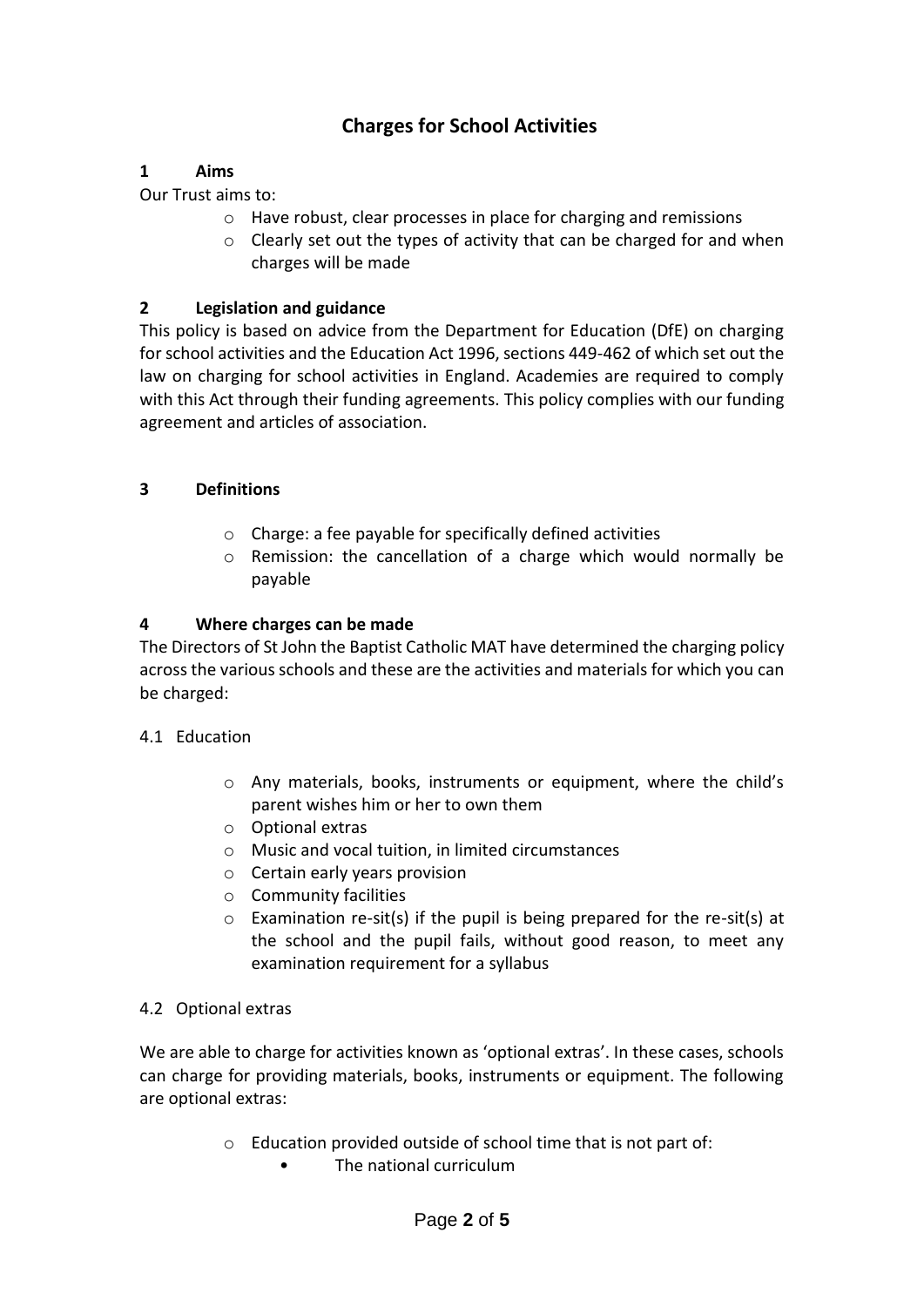### **Charges for School Activities**

#### **1 Aims**

Our Trust aims to:

- o Have robust, clear processes in place for charging and remissions
- o Clearly set out the types of activity that can be charged for and when charges will be made

#### **2 Legislation and guidance**

This policy is based on advice from the Department for Education (DfE) on charging for school activities and the Education Act 1996, sections 449-462 of which set out the law on charging for school activities in England. Academies are required to comply with this Act through their funding agreements. This policy complies with our funding agreement and articles of association.

#### **3 Definitions**

- o Charge: a fee payable for specifically defined activities
- o Remission: the cancellation of a charge which would normally be payable

#### **4 Where charges can be made**

The Directors of St John the Baptist Catholic MAT have determined the charging policy across the various schools and these are the activities and materials for which you can be charged:

#### 4.1 Education

- o Any materials, books, instruments or equipment, where the child's parent wishes him or her to own them
- o Optional extras
- o Music and vocal tuition, in limited circumstances
- o Certain early years provision
- o Community facilities
- $\circ$  Examination re-sit(s) if the pupil is being prepared for the re-sit(s) at the school and the pupil fails, without good reason, to meet any examination requirement for a syllabus

#### 4.2 Optional extras

We are able to charge for activities known as 'optional extras'. In these cases, schools can charge for providing materials, books, instruments or equipment. The following are optional extras:

- o Education provided outside of school time that is not part of:
	- The national curriculum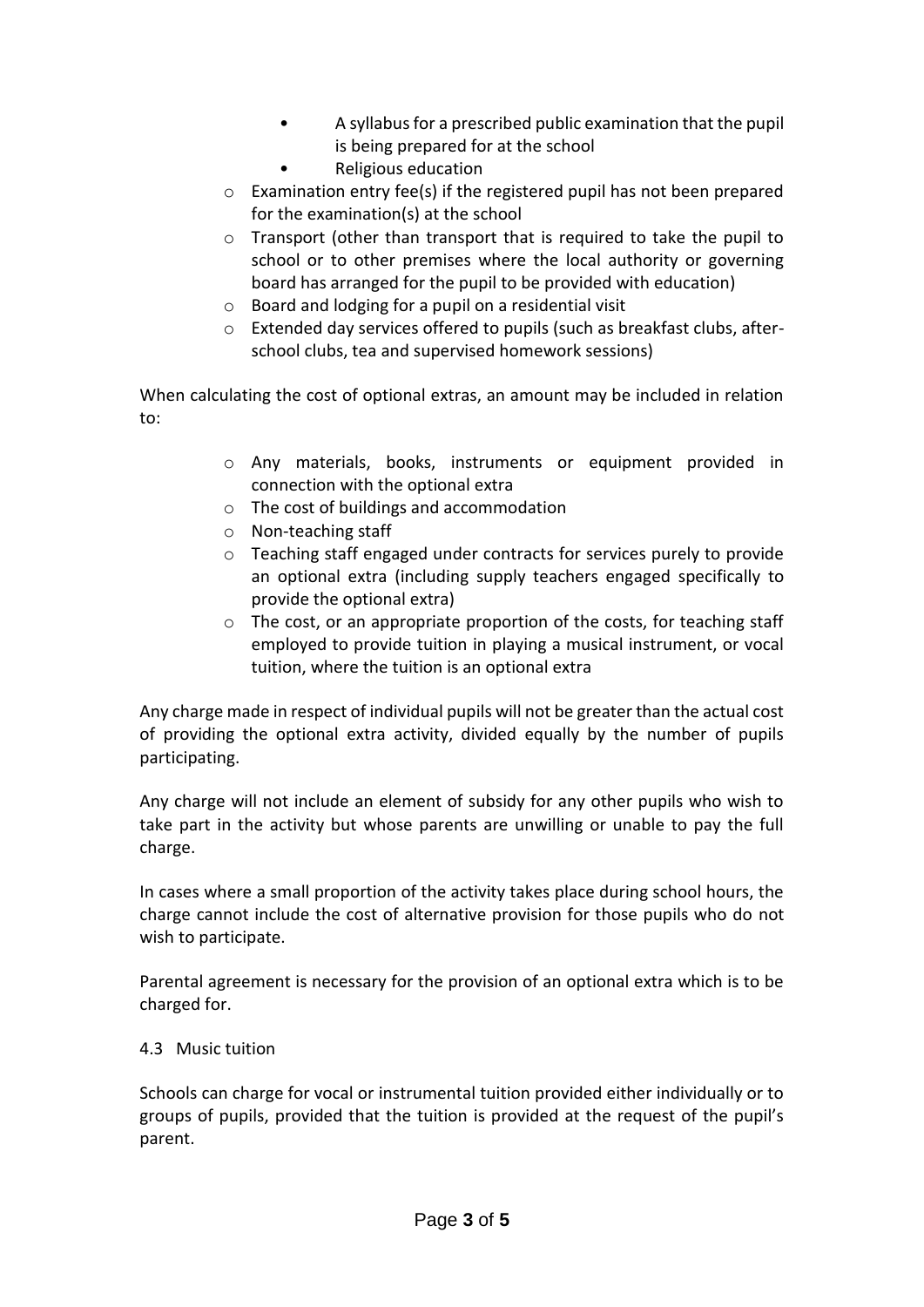- A syllabus for a prescribed public examination that the pupil is being prepared for at the school
- Religious education
- o Examination entry fee(s) if the registered pupil has not been prepared for the examination(s) at the school
- $\circ$  Transport (other than transport that is required to take the pupil to school or to other premises where the local authority or governing board has arranged for the pupil to be provided with education)
- o Board and lodging for a pupil on a residential visit
- o Extended day services offered to pupils (such as breakfast clubs, afterschool clubs, tea and supervised homework sessions)

When calculating the cost of optional extras, an amount may be included in relation to:

- o Any materials, books, instruments or equipment provided in connection with the optional extra
- o The cost of buildings and accommodation
- o Non-teaching staff
- o Teaching staff engaged under contracts for services purely to provide an optional extra (including supply teachers engaged specifically to provide the optional extra)
- $\circ$  The cost, or an appropriate proportion of the costs, for teaching staff employed to provide tuition in playing a musical instrument, or vocal tuition, where the tuition is an optional extra

Any charge made in respect of individual pupils will not be greater than the actual cost of providing the optional extra activity, divided equally by the number of pupils participating.

Any charge will not include an element of subsidy for any other pupils who wish to take part in the activity but whose parents are unwilling or unable to pay the full charge.

In cases where a small proportion of the activity takes place during school hours, the charge cannot include the cost of alternative provision for those pupils who do not wish to participate.

Parental agreement is necessary for the provision of an optional extra which is to be charged for.

#### 4.3 Music tuition

Schools can charge for vocal or instrumental tuition provided either individually or to groups of pupils, provided that the tuition is provided at the request of the pupil's parent.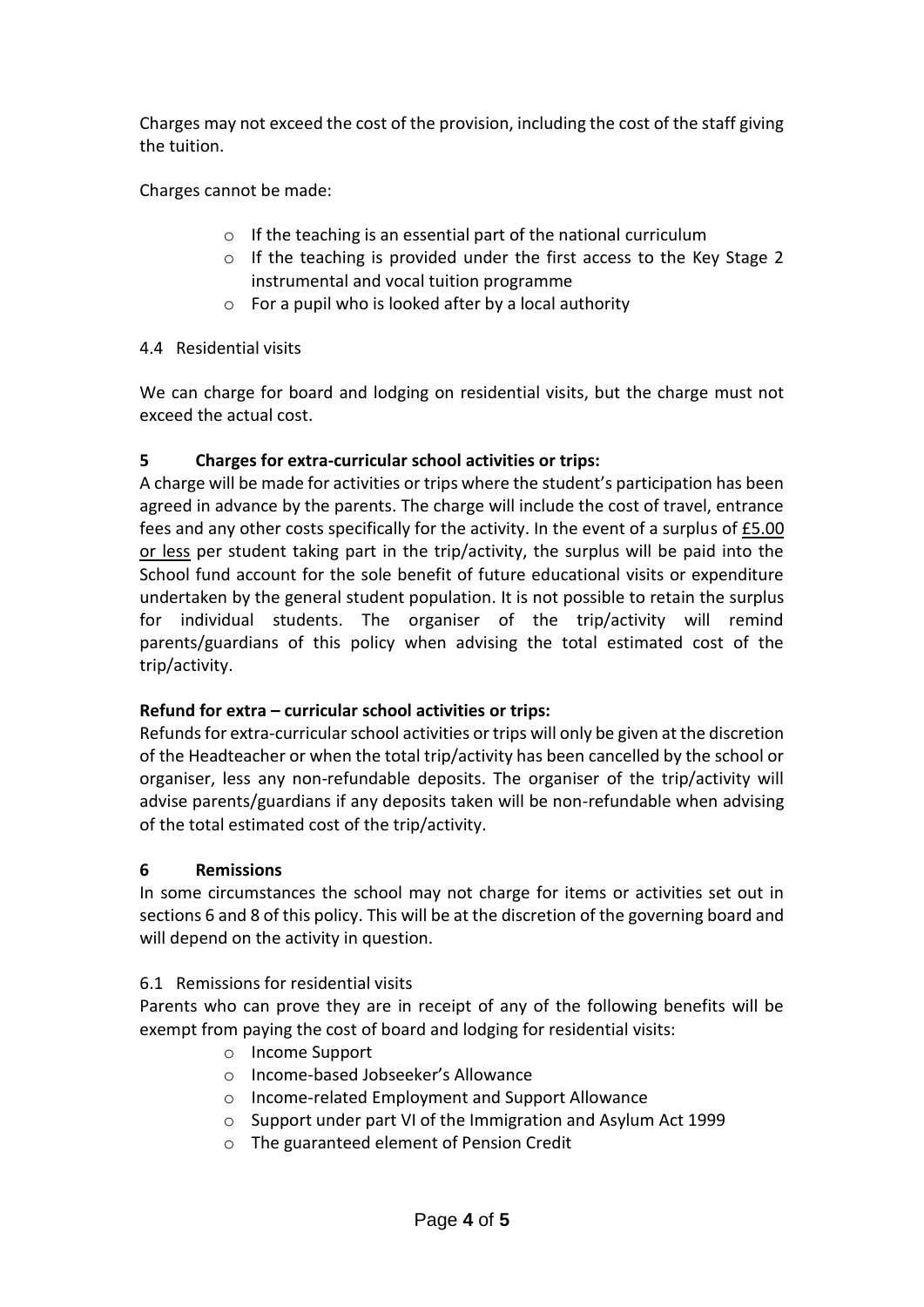Charges may not exceed the cost of the provision, including the cost of the staff giving the tuition.

Charges cannot be made:

- $\circ$  If the teaching is an essential part of the national curriculum
- o If the teaching is provided under the first access to the Key Stage 2 instrumental and vocal tuition programme
- $\circ$  For a pupil who is looked after by a local authority

#### 4.4 Residential visits

We can charge for board and lodging on residential visits, but the charge must not exceed the actual cost.

#### **5 Charges for extra-curricular school activities or trips:**

A charge will be made for activities or trips where the student's participation has been agreed in advance by the parents. The charge will include the cost of travel, entrance fees and any other costs specifically for the activity. In the event of a surplus of  $E$ 5.00 or less per student taking part in the trip/activity, the surplus will be paid into the School fund account for the sole benefit of future educational visits or expenditure undertaken by the general student population. It is not possible to retain the surplus for individual students. The organiser of the trip/activity will remind parents/guardians of this policy when advising the total estimated cost of the trip/activity.

#### **Refund for extra – curricular school activities or trips:**

Refunds for extra-curricular school activities or trips will only be given at the discretion of the Headteacher or when the total trip/activity has been cancelled by the school or organiser, less any non-refundable deposits. The organiser of the trip/activity will advise parents/guardians if any deposits taken will be non-refundable when advising of the total estimated cost of the trip/activity.

#### **6 Remissions**

In some circumstances the school may not charge for items or activities set out in sections 6 and 8 of this policy. This will be at the discretion of the governing board and will depend on the activity in question.

#### 6.1 Remissions for residential visits

Parents who can prove they are in receipt of any of the following benefits will be exempt from paying the cost of board and lodging for residential visits:

- o Income Support
- o Income-based Jobseeker's Allowance
- o Income-related Employment and Support Allowance
- o Support under part VI of the Immigration and Asylum Act 1999
- o The guaranteed element of Pension Credit